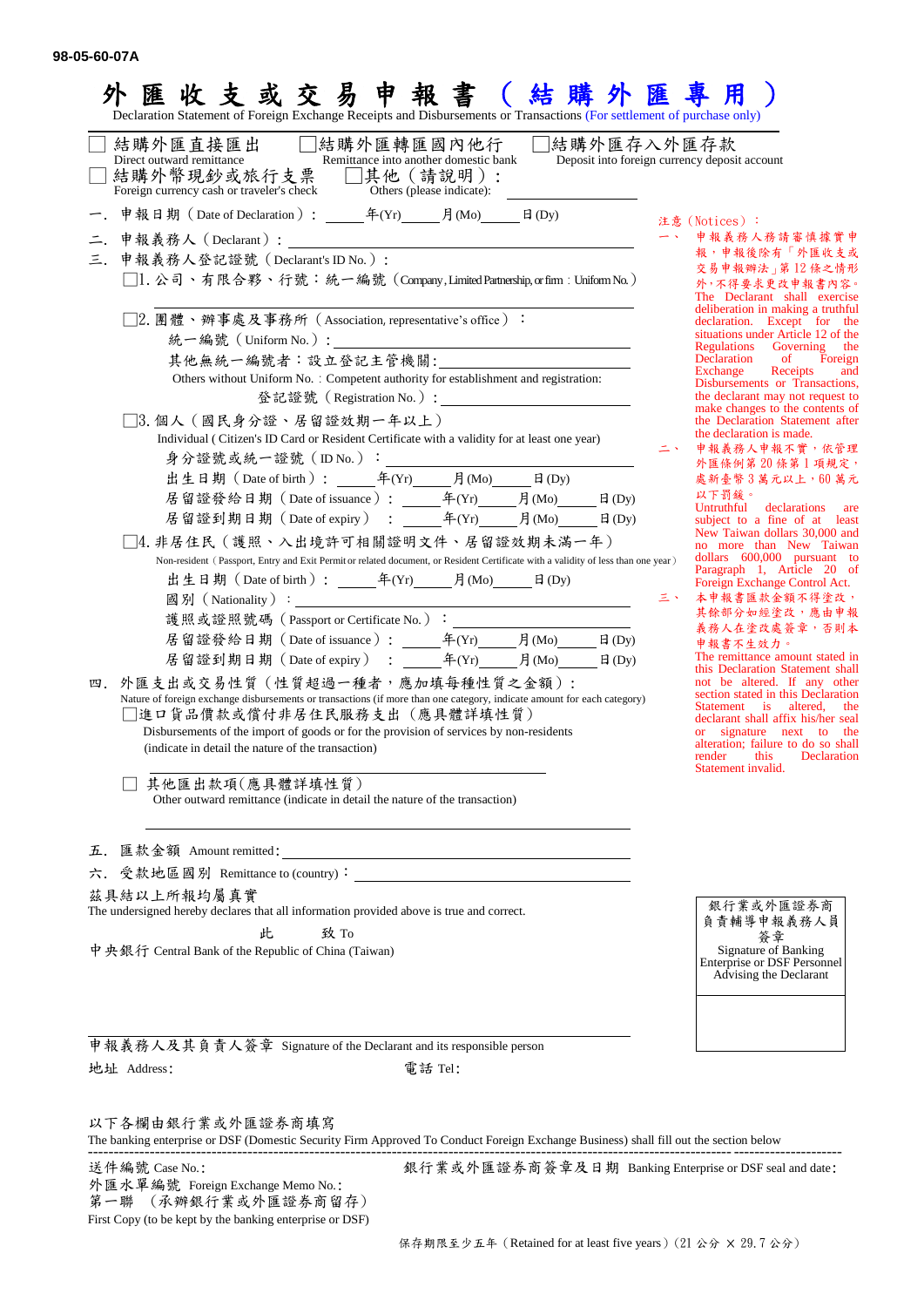| 結購外匯直接匯出<br>□結購外匯轉匯國內他行<br>Direct outward remittance<br>Remittance into another domestic bank<br>□結購外幣現鈔或旅行支票 □其他(請說明):<br>Foreign currency cash or traveler's check<br>Others (please indicate):                                                                                                                                            | 結購外匯存入外匯存款<br>Deposit into foreign currency deposit account                                                                                                                                                                              |
|----------------------------------------------------------------------------------------------------------------------------------------------------------------------------------------------------------------------------------------------------------------------------------------------------------------------------------------------|------------------------------------------------------------------------------------------------------------------------------------------------------------------------------------------------------------------------------------------|
|                                                                                                                                                                                                                                                                                                                                              | 注意 (Notices):                                                                                                                                                                                                                            |
|                                                                                                                                                                                                                                                                                                                                              | 申報義務人務請審慎據實申<br>報,申報後除有「外匯收支或                                                                                                                                                                                                            |
| 申報義務人登記證號 (Declarant's ID No.):<br>三.<br>□1. 公司、有限合夥、行號:統一編號 (Company,Limited Partnership, or firm : Uniform No.)                                                                                                                                                                                                                            | 交易申報辦法   第12條之情形<br>外,不得要求更改申報書內容。<br>The Declarant shall exercise                                                                                                                                                                       |
| □2.團體、辦事處及事務所(Association, representative's office)∶                                                                                                                                                                                                                                                                                         | deliberation in making a truthful<br>declaration. Except for the<br>situations under Article 12 of the<br>Regulations<br>Governing<br>the                                                                                                |
| 其他無統一編號者:設立登記主管機關:                                                                                                                                                                                                                                                                                                                           | of<br>Declaration<br>Foreign<br>Exchange<br>Receipts<br>and                                                                                                                                                                              |
| Others without Uniform No. : Competent authority for establishment and registration:<br>登記證號 (Registration No.):                                                                                                                                                                                                                             | Disbursements or Transactions,<br>the declarant may not request to<br>make changes to the contents of                                                                                                                                    |
| □3. 個人 (國民身分證、居留證效期一年以上)<br>Individual (Citizen's ID Card or Resident Certificate with a validity for at least one year)                                                                                                                                                                                                                     | the Declaration Statement after<br>the declaration is made.<br>申報義務人申報不實,依管理                                                                                                                                                             |
|                                                                                                                                                                                                                                                                                                                                              | 外匯條例第20條第1項規定,                                                                                                                                                                                                                           |
| 居留證發給日期 (Date of issuance): 年(Yr) 月(Mo)<br>$\Box$ (Dy)                                                                                                                                                                                                                                                                                       | 處新臺幣3萬元以上,60萬元<br>以下罰鍰。                                                                                                                                                                                                                  |
| 居留證到期日期 (Date of expiry) : 年(Yr) 月(Mo) 日(Dy)                                                                                                                                                                                                                                                                                                 | Untruthful declarations are<br>subject to a fine of at least                                                                                                                                                                             |
| □4. 非居住民(護照、入出境許可相關證明文件、居留證效期未滿一年)<br>Non-resident (Passport, Entry and Exit Permit or related document, or Resident Certificate with a validity of less than one year)                                                                                                                                                                      | New Taiwan dollars 30,000 and<br>no more than New Taiwan<br>dollars 600,000 pursuant to<br>Paragraph 1, Article 20 of<br>Foreign Exchange Control Act.                                                                                   |
|                                                                                                                                                                                                                                                                                                                                              | 本申報書匯款金額不得塗改,<br>三、                                                                                                                                                                                                                      |
|                                                                                                                                                                                                                                                                                                                                              | 其餘部分如經塗改,應由申報<br>義務人在塗改處簽章,否則本                                                                                                                                                                                                           |
|                                                                                                                                                                                                                                                                                                                                              | 申報書不生效力。                                                                                                                                                                                                                                 |
| 居留證到期日期 (Date of expiry) : 年(Yr) 月(Mo) 日(Dy)                                                                                                                                                                                                                                                                                                 | The remittance amount stated in<br>this Declaration Statement shall                                                                                                                                                                      |
| 四. 外匯支出或交易性質 (性質超過一種者,應加填每種性質之金額):<br>Nature of foreign exchange disbursements or transactions (if more than one category, indicate amount for each category)<br>]進口貨品價款或償付非居住民服務支出(應具體詳填性質)<br>Disbursements of the import of goods or for the provision of services by non-residents<br>(indicate in detail the nature of the transaction) | not be altered. If any other<br>section stated in this Declaration<br>Statement is altered, the<br>declarant shall affix his/her seal<br>or signature next to the<br>alteration; failure to do so shall<br>render<br>this<br>Declaration |
| 其他匯出款項(應具體詳填性質)<br>Other outward remittance (indicate in detail the nature of the transaction)                                                                                                                                                                                                                                               | Statement invalid.                                                                                                                                                                                                                       |
| 五.                                                                                                                                                                                                                                                                                                                                           |                                                                                                                                                                                                                                          |
| 六. 受款地區國別 Remittance to (country):                                                                                                                                                                                                                                                                                                           |                                                                                                                                                                                                                                          |
| 茲具結以上所報均屬真實<br>The undersigned hereby declares that all information provided above is true and correct.                                                                                                                                                                                                                                      | 銀行業或外匯證券商<br>負責輔導申報義務人員                                                                                                                                                                                                                  |
|                                                                                                                                                                                                                                                                                                                                              | 簽章                                                                                                                                                                                                                                       |
| 致 To<br>此<br>中央銀行 Central Bank of the Republic of China (Taiwan)                                                                                                                                                                                                                                                                             | Signature of Banking<br>Enterprise or DSF Personnel                                                                                                                                                                                      |

以下各欄由銀行業或外匯證券商填寫

The banking enterprise or DSF (Domestic Security Firm Approved To Conduct Foreign Exchange Business) shall fill out the section below --------------------------------------------------------------------------------------------------------------------------------------------------

外匯水單編號 Foreign Exchange Memo No.: 第一聯 (承辦銀行業或外匯證券商留存)

First Copy (to be kept by the banking enterprise or DSF)

送件編號 Case No.: 銀行業或外匯證券商簽章及日期 Banking Enterprise or DSF seal and date: